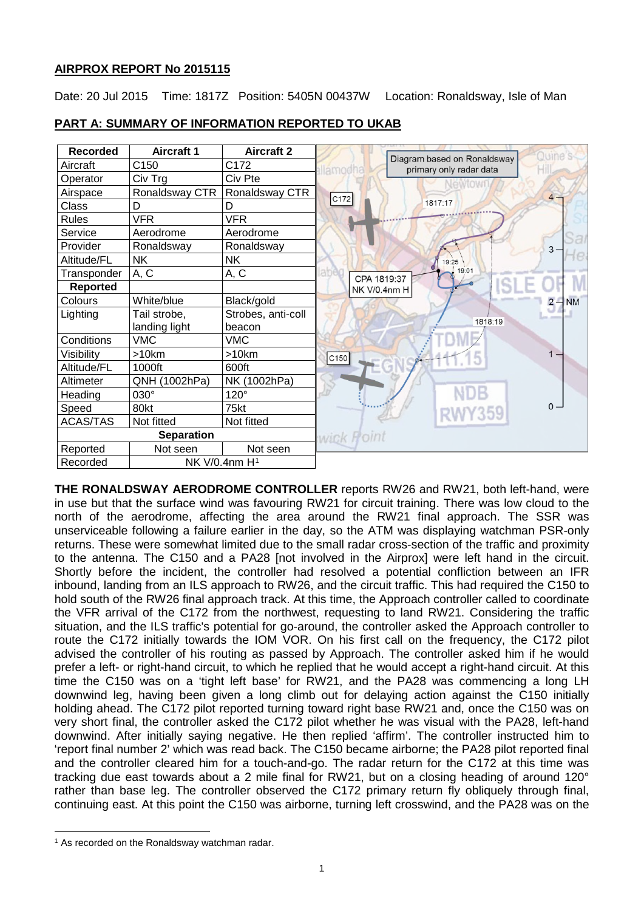# **AIRPROX REPORT No 2015115**

Date: 20 Jul 2015 Time: 1817Z Position: 5405N 00437W Location: Ronaldsway, Isle of Man



# **PART A: SUMMARY OF INFORMATION REPORTED TO UKAB**

**THE RONALDSWAY AERODROME CONTROLLER** reports RW26 and RW21, both left-hand, were in use but that the surface wind was favouring RW21 for circuit training. There was low cloud to the north of the aerodrome, affecting the area around the RW21 final approach. The SSR was unserviceable following a failure earlier in the day, so the ATM was displaying watchman PSR-only returns. These were somewhat limited due to the small radar cross-section of the traffic and proximity to the antenna. The C150 and a PA28 [not involved in the Airprox] were left hand in the circuit. Shortly before the incident, the controller had resolved a potential confliction between an IFR inbound, landing from an ILS approach to RW26, and the circuit traffic. This had required the C150 to hold south of the RW26 final approach track. At this time, the Approach controller called to coordinate the VFR arrival of the C172 from the northwest, requesting to land RW21. Considering the traffic situation, and the ILS traffic's potential for go-around, the controller asked the Approach controller to route the C172 initially towards the IOM VOR. On his first call on the frequency, the C172 pilot advised the controller of his routing as passed by Approach. The controller asked him if he would prefer a left- or right-hand circuit, to which he replied that he would accept a right-hand circuit. At this time the C150 was on a 'tight left base' for RW21, and the PA28 was commencing a long LH downwind leg, having been given a long climb out for delaying action against the C150 initially holding ahead. The C172 pilot reported turning toward right base RW21 and, once the C150 was on very short final, the controller asked the C172 pilot whether he was visual with the PA28, left-hand downwind. After initially saying negative. He then replied 'affirm'. The controller instructed him to 'report final number 2' which was read back. The C150 became airborne; the PA28 pilot reported final and the controller cleared him for a touch-and-go. The radar return for the C172 at this time was tracking due east towards about a 2 mile final for RW21, but on a closing heading of around 120° rather than base leg. The controller observed the C172 primary return fly obliquely through final, continuing east. At this point the C150 was airborne, turning left crosswind, and the PA28 was on the

 $\overline{\phantom{a}}$ 

<span id="page-0-0"></span><sup>&</sup>lt;sup>1</sup> As recorded on the Ronaldsway watchman radar.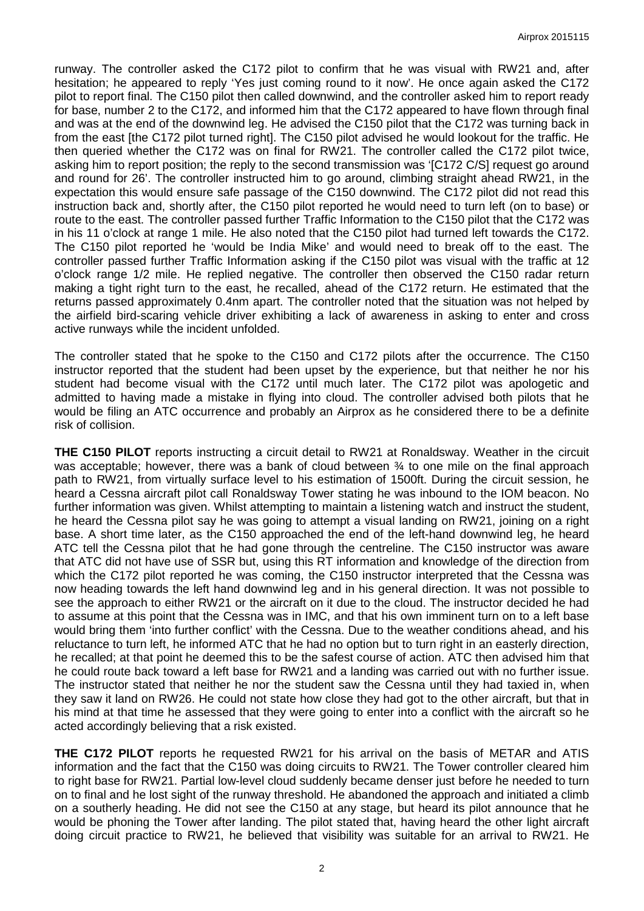runway. The controller asked the C172 pilot to confirm that he was visual with RW21 and, after hesitation; he appeared to reply 'Yes just coming round to it now'. He once again asked the C172 pilot to report final. The C150 pilot then called downwind, and the controller asked him to report ready for base, number 2 to the C172, and informed him that the C172 appeared to have flown through final and was at the end of the downwind leg. He advised the C150 pilot that the C172 was turning back in from the east [the C172 pilot turned right]. The C150 pilot advised he would lookout for the traffic. He then queried whether the C172 was on final for RW21. The controller called the C172 pilot twice, asking him to report position; the reply to the second transmission was '[C172 C/S] request go around and round for 26'. The controller instructed him to go around, climbing straight ahead RW21, in the expectation this would ensure safe passage of the C150 downwind. The C172 pilot did not read this instruction back and, shortly after, the C150 pilot reported he would need to turn left (on to base) or route to the east. The controller passed further Traffic Information to the C150 pilot that the C172 was in his 11 o'clock at range 1 mile. He also noted that the C150 pilot had turned left towards the C172. The C150 pilot reported he 'would be India Mike' and would need to break off to the east. The controller passed further Traffic Information asking if the C150 pilot was visual with the traffic at 12 o'clock range 1/2 mile. He replied negative. The controller then observed the C150 radar return making a tight right turn to the east, he recalled, ahead of the C172 return. He estimated that the returns passed approximately 0.4nm apart. The controller noted that the situation was not helped by the airfield bird-scaring vehicle driver exhibiting a lack of awareness in asking to enter and cross active runways while the incident unfolded.

The controller stated that he spoke to the C150 and C172 pilots after the occurrence. The C150 instructor reported that the student had been upset by the experience, but that neither he nor his student had become visual with the C172 until much later. The C172 pilot was apologetic and admitted to having made a mistake in flying into cloud. The controller advised both pilots that he would be filing an ATC occurrence and probably an Airprox as he considered there to be a definite risk of collision.

**THE C150 PILOT** reports instructing a circuit detail to RW21 at Ronaldsway. Weather in the circuit was acceptable; however, there was a bank of cloud between  $\frac{3}{4}$  to one mile on the final approach path to RW21, from virtually surface level to his estimation of 1500ft. During the circuit session, he heard a Cessna aircraft pilot call Ronaldsway Tower stating he was inbound to the IOM beacon. No further information was given. Whilst attempting to maintain a listening watch and instruct the student, he heard the Cessna pilot say he was going to attempt a visual landing on RW21, joining on a right base. A short time later, as the C150 approached the end of the left-hand downwind leg, he heard ATC tell the Cessna pilot that he had gone through the centreline. The C150 instructor was aware that ATC did not have use of SSR but, using this RT information and knowledge of the direction from which the C172 pilot reported he was coming, the C150 instructor interpreted that the Cessna was now heading towards the left hand downwind leg and in his general direction. It was not possible to see the approach to either RW21 or the aircraft on it due to the cloud. The instructor decided he had to assume at this point that the Cessna was in IMC, and that his own imminent turn on to a left base would bring them 'into further conflict' with the Cessna. Due to the weather conditions ahead, and his reluctance to turn left, he informed ATC that he had no option but to turn right in an easterly direction, he recalled; at that point he deemed this to be the safest course of action. ATC then advised him that he could route back toward a left base for RW21 and a landing was carried out with no further issue. The instructor stated that neither he nor the student saw the Cessna until they had taxied in, when they saw it land on RW26. He could not state how close they had got to the other aircraft, but that in his mind at that time he assessed that they were going to enter into a conflict with the aircraft so he acted accordingly believing that a risk existed.

**THE C172 PILOT** reports he requested RW21 for his arrival on the basis of METAR and ATIS information and the fact that the C150 was doing circuits to RW21. The Tower controller cleared him to right base for RW21. Partial low-level cloud suddenly became denser just before he needed to turn on to final and he lost sight of the runway threshold. He abandoned the approach and initiated a climb on a southerly heading. He did not see the C150 at any stage, but heard its pilot announce that he would be phoning the Tower after landing. The pilot stated that, having heard the other light aircraft doing circuit practice to RW21, he believed that visibility was suitable for an arrival to RW21. He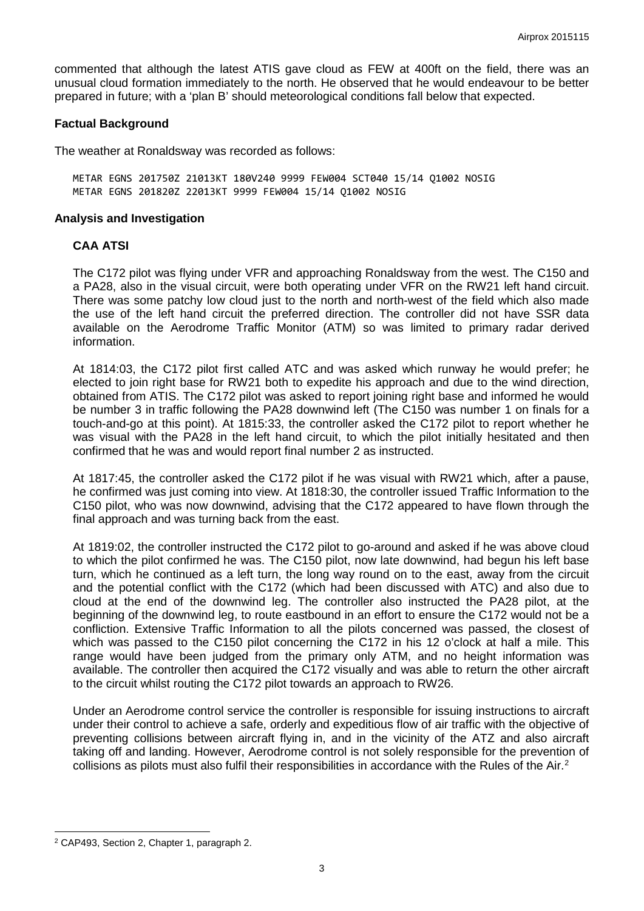commented that although the latest ATIS gave cloud as FEW at 400ft on the field, there was an unusual cloud formation immediately to the north. He observed that he would endeavour to be better prepared in future; with a 'plan B' should meteorological conditions fall below that expected.

#### **Factual Background**

The weather at Ronaldsway was recorded as follows:

METAR EGNS 201750Z 21013KT 180V240 9999 FEW004 SCT040 15/14 Q1002 NOSIG METAR EGNS 201820Z 22013KT 9999 FEW004 15/14 Q1002 NOSIG

#### **Analysis and Investigation**

### **CAA ATSI**

The C172 pilot was flying under VFR and approaching Ronaldsway from the west. The C150 and a PA28, also in the visual circuit, were both operating under VFR on the RW21 left hand circuit. There was some patchy low cloud just to the north and north-west of the field which also made the use of the left hand circuit the preferred direction. The controller did not have SSR data available on the Aerodrome Traffic Monitor (ATM) so was limited to primary radar derived information.

At 1814:03, the C172 pilot first called ATC and was asked which runway he would prefer; he elected to join right base for RW21 both to expedite his approach and due to the wind direction, obtained from ATIS. The C172 pilot was asked to report joining right base and informed he would be number 3 in traffic following the PA28 downwind left (The C150 was number 1 on finals for a touch-and-go at this point). At 1815:33, the controller asked the C172 pilot to report whether he was visual with the PA28 in the left hand circuit, to which the pilot initially hesitated and then confirmed that he was and would report final number 2 as instructed.

At 1817:45, the controller asked the C172 pilot if he was visual with RW21 which, after a pause, he confirmed was just coming into view. At 1818:30, the controller issued Traffic Information to the C150 pilot, who was now downwind, advising that the C172 appeared to have flown through the final approach and was turning back from the east.

At 1819:02, the controller instructed the C172 pilot to go-around and asked if he was above cloud to which the pilot confirmed he was. The C150 pilot, now late downwind, had begun his left base turn, which he continued as a left turn, the long way round on to the east, away from the circuit and the potential conflict with the C172 (which had been discussed with ATC) and also due to cloud at the end of the downwind leg. The controller also instructed the PA28 pilot, at the beginning of the downwind leg, to route eastbound in an effort to ensure the C172 would not be a confliction. Extensive Traffic Information to all the pilots concerned was passed, the closest of which was passed to the C150 pilot concerning the C172 in his 12 o'clock at half a mile. This range would have been judged from the primary only ATM, and no height information was available. The controller then acquired the C172 visually and was able to return the other aircraft to the circuit whilst routing the C172 pilot towards an approach to RW26.

Under an Aerodrome control service the controller is responsible for issuing instructions to aircraft under their control to achieve a safe, orderly and expeditious flow of air traffic with the objective of preventing collisions between aircraft flying in, and in the vicinity of the ATZ and also aircraft taking off and landing. However, Aerodrome control is not solely responsible for the prevention of collisions as pilots must also fulfil their responsibilities in accordance with the Rules of the Air.<sup>[2](#page-2-0)</sup>

 $\overline{\phantom{a}}$ 

<span id="page-2-0"></span><sup>2</sup> CAP493, Section 2, Chapter 1, paragraph 2.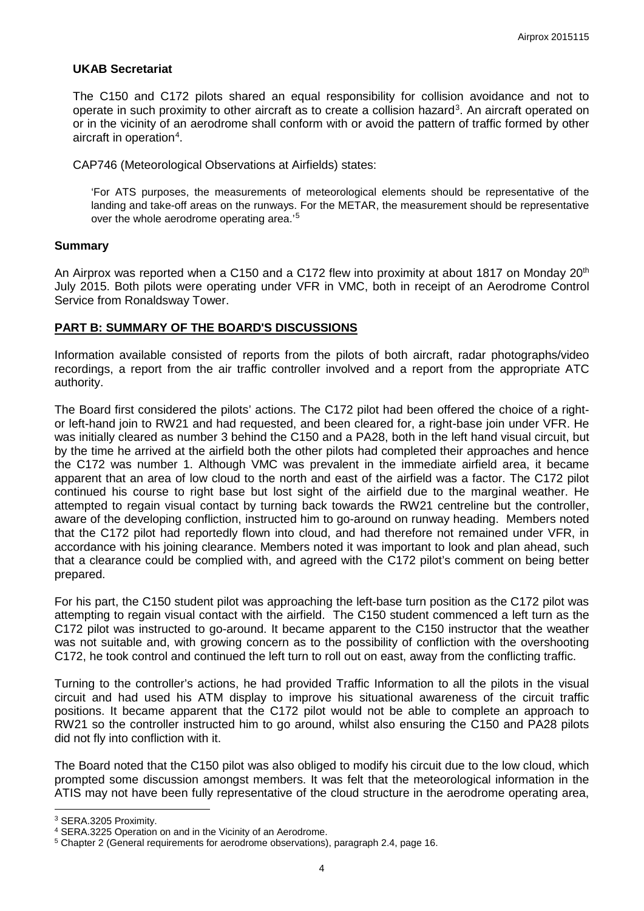# **UKAB Secretariat**

The C150 and C172 pilots shared an equal responsibility for collision avoidance and not to operate in such proximity to other aircraft as to create a collision hazard<sup>[3](#page-3-0)</sup>. An aircraft operated on or in the vicinity of an aerodrome shall conform with or avoid the pattern of traffic formed by other aircraft in operation<sup>[4](#page-3-1)</sup>.

CAP746 (Meteorological Observations at Airfields) states:

'For ATS purposes, the measurements of meteorological elements should be representative of the landing and take-off areas on the runways. For the METAR, the measurement should be representative over the whole aerodrome operating area.'<sup>[5](#page-3-2)</sup>

### **Summary**

An Airprox was reported when a C150 and a C172 flew into proximity at about 1817 on Monday 20<sup>th</sup> July 2015. Both pilots were operating under VFR in VMC, both in receipt of an Aerodrome Control Service from Ronaldsway Tower.

# **PART B: SUMMARY OF THE BOARD'S DISCUSSIONS**

Information available consisted of reports from the pilots of both aircraft, radar photographs/video recordings, a report from the air traffic controller involved and a report from the appropriate ATC authority.

The Board first considered the pilots' actions. The C172 pilot had been offered the choice of a rightor left-hand join to RW21 and had requested, and been cleared for, a right-base join under VFR. He was initially cleared as number 3 behind the C150 and a PA28, both in the left hand visual circuit, but by the time he arrived at the airfield both the other pilots had completed their approaches and hence the C172 was number 1. Although VMC was prevalent in the immediate airfield area, it became apparent that an area of low cloud to the north and east of the airfield was a factor. The C172 pilot continued his course to right base but lost sight of the airfield due to the marginal weather. He attempted to regain visual contact by turning back towards the RW21 centreline but the controller, aware of the developing confliction, instructed him to go-around on runway heading. Members noted that the C172 pilot had reportedly flown into cloud, and had therefore not remained under VFR, in accordance with his joining clearance. Members noted it was important to look and plan ahead, such that a clearance could be complied with, and agreed with the C172 pilot's comment on being better prepared.

For his part, the C150 student pilot was approaching the left-base turn position as the C172 pilot was attempting to regain visual contact with the airfield. The C150 student commenced a left turn as the C172 pilot was instructed to go-around. It became apparent to the C150 instructor that the weather was not suitable and, with growing concern as to the possibility of confliction with the overshooting C172, he took control and continued the left turn to roll out on east, away from the conflicting traffic.

Turning to the controller's actions, he had provided Traffic Information to all the pilots in the visual circuit and had used his ATM display to improve his situational awareness of the circuit traffic positions. It became apparent that the C172 pilot would not be able to complete an approach to RW21 so the controller instructed him to go around, whilst also ensuring the C150 and PA28 pilots did not fly into confliction with it.

The Board noted that the C150 pilot was also obliged to modify his circuit due to the low cloud, which prompted some discussion amongst members. It was felt that the meteorological information in the ATIS may not have been fully representative of the cloud structure in the aerodrome operating area,

 $\overline{\phantom{a}}$ 

<span id="page-3-0"></span><sup>3</sup> SERA.3205 Proximity.

<span id="page-3-1"></span><sup>4</sup> SERA.3225 Operation on and in the Vicinity of an Aerodrome.

<span id="page-3-2"></span><sup>5</sup> Chapter 2 (General requirements for aerodrome observations), paragraph 2.4, page 16.